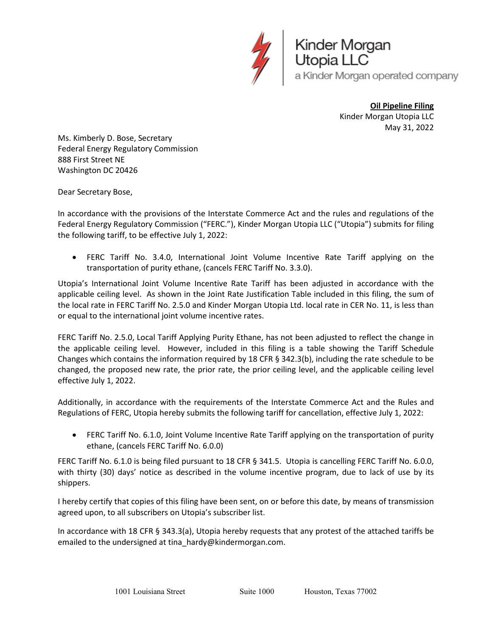

Kinder Morgan<br>Utopia LLC a Kinder Morgan operated company

> **Oil Pipeline Filing** Kinder Morgan Utopia LLC May 31, 2022

Ms. Kimberly D. Bose, Secretary Federal Energy Regulatory Commission 888 First Street NE Washington DC 20426

Dear Secretary Bose,

In accordance with the provisions of the Interstate Commerce Act and the rules and regulations of the Federal Energy Regulatory Commission ("FERC."), Kinder Morgan Utopia LLC ("Utopia") submits for filing the following tariff, to be effective July 1, 2022:

• FERC Tariff No. 3.4.0, International Joint Volume Incentive Rate Tariff applying on the transportation of purity ethane, (cancels FERC Tariff No. 3.3.0).

Utopia's International Joint Volume Incentive Rate Tariff has been adjusted in accordance with the applicable ceiling level. As shown in the Joint Rate Justification Table included in this filing, the sum of the local rate in FERC Tariff No. 2.5.0 and Kinder Morgan Utopia Ltd. local rate in CER No. 11, is less than or equal to the international joint volume incentive rates.

FERC Tariff No. 2.5.0, Local Tariff Applying Purity Ethane, has not been adjusted to reflect the change in the applicable ceiling level. However, included in this filing is a table showing the Tariff Schedule Changes which contains the information required by 18 CFR § 342.3(b), including the rate schedule to be changed, the proposed new rate, the prior rate, the prior ceiling level, and the applicable ceiling level effective July 1, 2022.

Additionally, in accordance with the requirements of the Interstate Commerce Act and the Rules and Regulations of FERC, Utopia hereby submits the following tariff for cancellation, effective July 1, 2022:

• FERC Tariff No. 6.1.0, Joint Volume Incentive Rate Tariff applying on the transportation of purity ethane, (cancels FERC Tariff No. 6.0.0)

FERC Tariff No. 6.1.0 is being filed pursuant to 18 CFR § 341.5. Utopia is cancelling FERC Tariff No. 6.0.0, with thirty (30) days' notice as described in the volume incentive program, due to lack of use by its shippers.

I hereby certify that copies of this filing have been sent, on or before this date, by means of transmission agreed upon, to all subscribers on Utopia's subscriber list.

In accordance with 18 CFR § 343.3(a), Utopia hereby requests that any protest of the attached tariffs be emailed to the undersigned at tina\_hardy@kindermorgan.com.